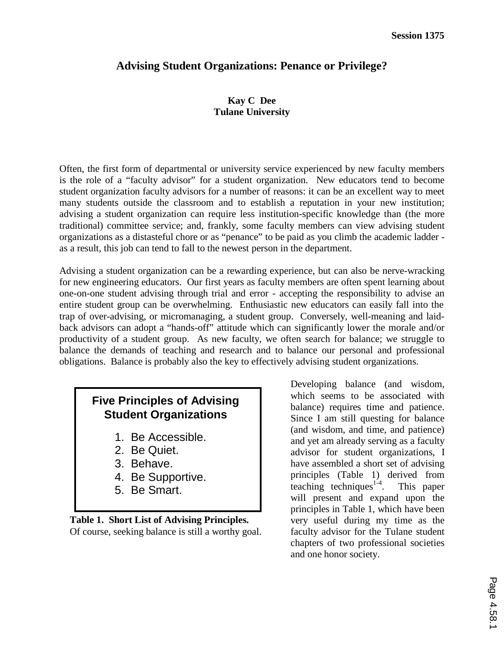## **Advising Student Organizations: Penance or Privilege?**

### **Kay C Dee Tulane University**

Often, the first form of departmental or university service experienced by new faculty members is the role of a "faculty advisor" for a student organization. New educators tend to become student organization faculty advisors for a number of reasons: it can be an excellent way to meet many students outside the classroom and to establish a reputation in your new institution; advising a student organization can require less institution-specific knowledge than (the more traditional) committee service; and, frankly, some faculty members can view advising student organizations as a distasteful chore or as "penance" to be paid as you climb the academic ladder as a result, this job can tend to fall to the newest person in the department.

Advising a student organization can be a rewarding experience, but can also be nerve-wracking for new engineering educators. Our first years as faculty members are often spent learning about one-on-one student advising through trial and error - accepting the responsibility to advise an entire student group can be overwhelming. Enthusiastic new educators can easily fall into the trap of over-advising, or micromanaging, a student group. Conversely, well-meaning and laidback advisors can adopt a "hands-off" attitude which can significantly lower the morale and/or productivity of a student group. As new faculty, we often search for balance; we struggle to balance the demands of teaching and research and to balance our personal and professional obligations. Balance is probably also the key to effectively advising student organizations.

# **Five Principles of Advising Student Organizations**

- 1. Be Accessible.
- 2. Be Quiet.
- 3. Behave.
- 4. Be Supportive.
- 5. Be Smart.

**Table 1. Short List of Advising Principles.** Of course, seeking balance is still a worthy goal. Developing balance (and wisdom, which seems to be associated with balance) requires time and patience. Since I am still questing for balance (and wisdom, and time, and patience) and yet am already serving as a faculty advisor for student organizations, I have assembled a short set of advising principles (Table 1) derived from teaching techniques $1-4$ . This paper will present and expand upon the principles in Table 1, which have been very useful during my time as the faculty advisor for the Tulane student chapters of two professional societies and one honor society.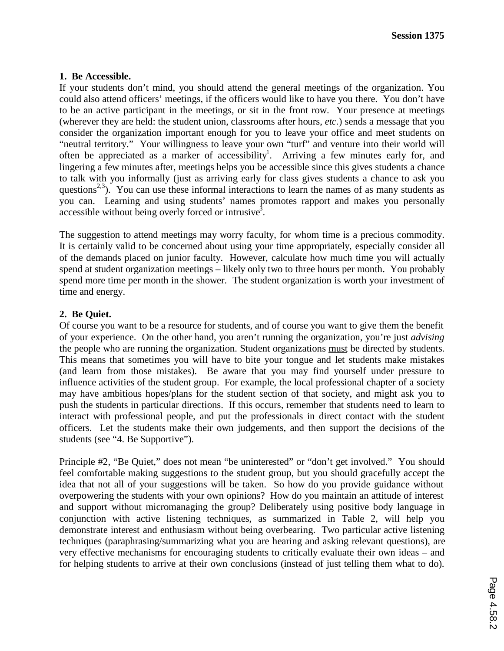#### **1. Be Accessible.**

If your students don't mind, you should attend the general meetings of the organization. You could also attend officers' meetings, if the officers would like to have you there. You don't have to be an active participant in the meetings, or sit in the front row. Your presence at meetings (wherever they are held: the student union, classrooms after hours, *etc.*) sends a message that you consider the organization important enough for you to leave your office and meet students on "neutral territory." Your willingness to leave your own "turf" and venture into their world will often be appreciated as a marker of accessibility<sup>1</sup>. Arriving a few minutes early for, and lingering a few minutes after, meetings helps you be accessible since this gives students a chance to talk with you informally (just as arriving early for class gives students a chance to ask you questions<sup>2,3</sup>). You can use these informal interactions to learn the names of as many students as you can. Learning and using students' names promotes rapport and makes you personally  $\alpha$  accessible without being overly forced or intrusive<sup>3</sup>.

The suggestion to attend meetings may worry faculty, for whom time is a precious commodity. It is certainly valid to be concerned about using your time appropriately, especially consider all of the demands placed on junior faculty. However, calculate how much time you will actually spend at student organization meetings – likely only two to three hours per month. You probably spend more time per month in the shower. The student organization is worth your investment of time and energy.

### **2. Be Quiet.**

Of course you want to be a resource for students, and of course you want to give them the benefit of your experience. On the other hand, you aren't running the organization, you're just *advising* the people who are running the organization. Student organizations must be directed by students. This means that sometimes you will have to bite your tongue and let students make mistakes (and learn from those mistakes). Be aware that you may find yourself under pressure to influence activities of the student group. For example, the local professional chapter of a society may have ambitious hopes/plans for the student section of that society, and might ask you to push the students in particular directions. If this occurs, remember that students need to learn to interact with professional people, and put the professionals in direct contact with the student officers. Let the students make their own judgements, and then support the decisions of the students (see "4. Be Supportive").

Principle #2, "Be Quiet," does not mean "be uninterested" or "don't get involved." You should feel comfortable making suggestions to the student group, but you should gracefully accept the idea that not all of your suggestions will be taken. So how do you provide guidance without overpowering the students with your own opinions? How do you maintain an attitude of interest and support without micromanaging the group? Deliberately using positive body language in conjunction with active listening techniques, as summarized in Table 2, will help you demonstrate interest and enthusiasm without being overbearing. Two particular active listening techniques (paraphrasing/summarizing what you are hearing and asking relevant questions), are very effective mechanisms for encouraging students to critically evaluate their own ideas – and for helping students to arrive at their own conclusions (instead of just telling them what to do).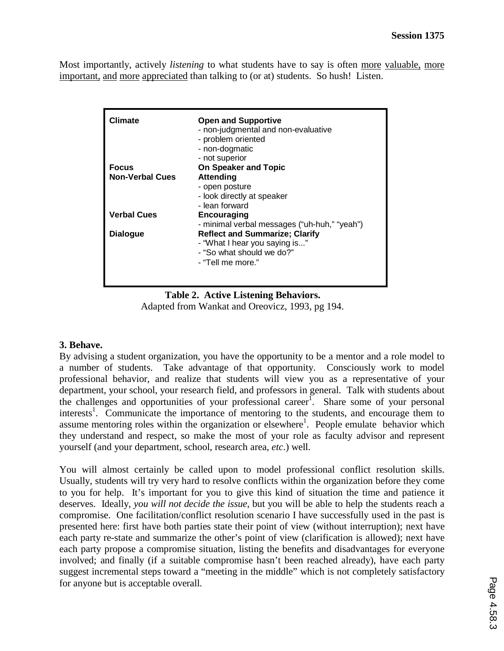Most importantly, actively *listening* to what students have to say is often more valuable, more important, and more appreciated than talking to (or at) students. So hush! Listen.

| Climate                | <b>Open and Supportive</b><br>- non-judgmental and non-evaluative<br>- problem oriented<br>- non-dogmatic<br>- not superior |
|------------------------|-----------------------------------------------------------------------------------------------------------------------------|
| <b>Focus</b>           | <b>On Speaker and Topic</b>                                                                                                 |
| <b>Non-Verbal Cues</b> | <b>Attending</b><br>- open posture<br>- look directly at speaker<br>- lean forward                                          |
| <b>Verbal Cues</b>     | <b>Encouraging</b><br>- minimal verbal messages ("uh-huh," "yeah")                                                          |
| <b>Dialogue</b>        | <b>Reflect and Summarize; Clarify</b><br>- "What I hear you saying is"<br>- "So what should we do?"<br>- "Tell me more."    |

**Table 2. Active Listening Behaviors.** Adapted from Wankat and Oreovicz, 1993, pg 194.

### **3. Behave.**

By advising a student organization, you have the opportunity to be a mentor and a role model to a number of students. Take advantage of that opportunity. Consciously work to model professional behavior, and realize that students will view you as a representative of your department, your school, your research field, and professors in general. Talk with students about the challenges and opportunities of your professional career<sup>1</sup>. Share some of your personal interests<sup>1</sup>. Communicate the importance of mentoring to the students, and encourage them to assume mentoring roles within the organization or elsewhere<sup>1</sup>. People emulate behavior which they understand and respect, so make the most of your role as faculty advisor and represent yourself (and your department, school, research area, *etc*.) well.

You will almost certainly be called upon to model professional conflict resolution skills. Usually, students will try very hard to resolve conflicts within the organization before they come to you for help. It's important for you to give this kind of situation the time and patience it deserves. Ideally, *you will not decide the issue*, but you will be able to help the students reach a compromise. One facilitation/conflict resolution scenario I have successfully used in the past is presented here: first have both parties state their point of view (without interruption); next have each party re-state and summarize the other's point of view (clarification is allowed); next have each party propose a compromise situation, listing the benefits and disadvantages for everyone involved; and finally (if a suitable compromise hasn't been reached already), have each party suggest incremental steps toward a "meeting in the middle" which is not completely satisfactory for anyone but is acceptable overall.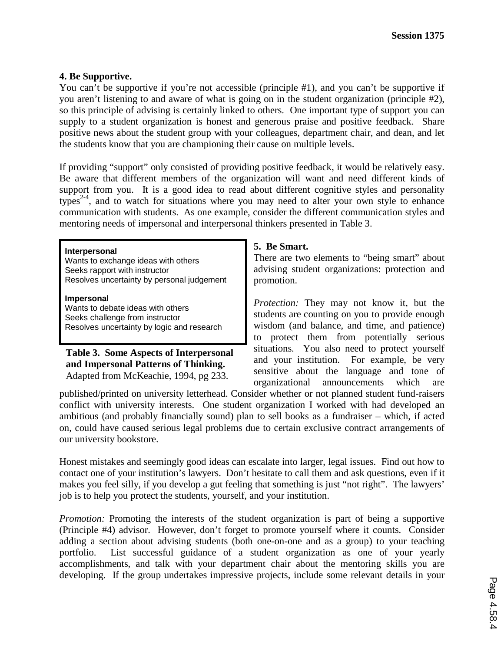#### **4. Be Supportive.**

You can't be supportive if you're not accessible (principle #1), and you can't be supportive if you aren't listening to and aware of what is going on in the student organization (principle #2), so this principle of advising is certainly linked to others. One important type of support you can supply to a student organization is honest and generous praise and positive feedback. Share positive news about the student group with your colleagues, department chair, and dean, and let the students know that you are championing their cause on multiple levels.

If providing "support" only consisted of providing positive feedback, it would be relatively easy. Be aware that different members of the organization will want and need different kinds of support from you. It is a good idea to read about different cognitive styles and personality types<sup>2-4</sup>, and to watch for situations where you may need to alter your own style to enhance communication with students. As one example, consider the different communication styles and mentoring needs of impersonal and interpersonal thinkers presented in Table 3.

#### **Interpersonal**

Wants to exchange ideas with others Seeks rapport with instructor Resolves uncertainty by personal judgement

**Impersonal** Wants to debate ideas with others Seeks challenge from instructor Resolves uncertainty by logic and research

**Table 3. Some Aspects of Interpersonal and Impersonal Patterns of Thinking.** Adapted from McKeachie, 1994, pg 233.

### **5. Be Smart.**

There are two elements to "being smart" about advising student organizations: protection and promotion.

*Protection:* They may not know it, but the students are counting on you to provide enough wisdom (and balance, and time, and patience) to protect them from potentially serious situations. You also need to protect yourself and your institution. For example, be very sensitive about the language and tone of organizational announcements which are

published/printed on university letterhead. Consider whether or not planned student fund-raisers conflict with university interests. One student organization I worked with had developed an ambitious (and probably financially sound) plan to sell books as a fundraiser – which, if acted on, could have caused serious legal problems due to certain exclusive contract arrangements of our university bookstore.

Honest mistakes and seemingly good ideas can escalate into larger, legal issues. Find out how to contact one of your institution's lawyers. Don't hesitate to call them and ask questions, even if it makes you feel silly, if you develop a gut feeling that something is just "not right". The lawyers' job is to help you protect the students, yourself, and your institution.

*Promotion:* Promoting the interests of the student organization is part of being a supportive (Principle #4) advisor. However, don't forget to promote yourself where it counts. Consider adding a section about advising students (both one-on-one and as a group) to your teaching portfolio. List successful guidance of a student organization as one of your yearly accomplishments, and talk with your department chair about the mentoring skills you are developing. If the group undertakes impressive projects, include some relevant details in your